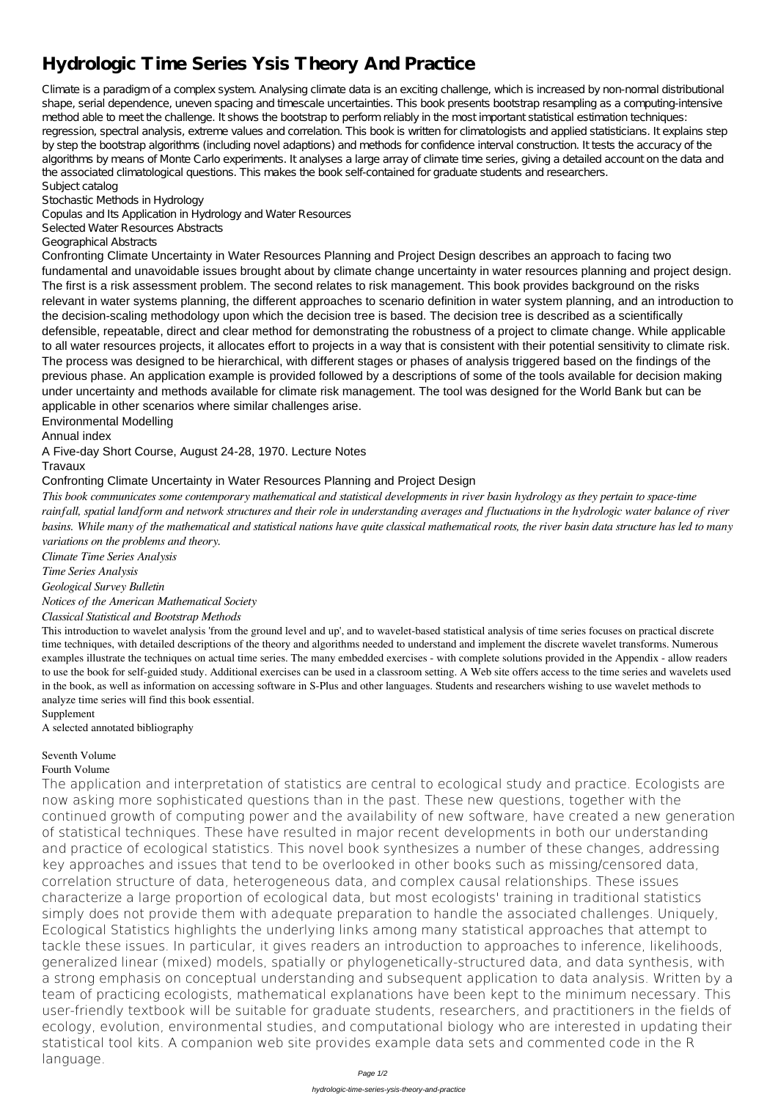# **Hydrologic Time Series Ysis Theory And Practice**

Climate is a paradigm of a complex system. Analysing climate data is an exciting challenge, which is increased by non-normal distributional shape, serial dependence, uneven spacing and timescale uncertainties. This book presents bootstrap resampling as a computing-intensive method able to meet the challenge. It shows the bootstrap to perform reliably in the most important statistical estimation techniques: regression, spectral analysis, extreme values and correlation. This book is written for climatologists and applied statisticians. It explains step by step the bootstrap algorithms (including novel adaptions) and methods for confidence interval construction. It tests the accuracy of the algorithms by means of Monte Carlo experiments. It analyses a large array of climate time series, giving a detailed account on the data and the associated climatological questions. This makes the book self-contained for graduate students and researchers. Subject catalog

Stochastic Methods in Hydrology

Copulas and Its Application in Hydrology and Water Resources

Selected Water Resources Abstracts

Geographical Abstracts

Confronting Climate Uncertainty in Water Resources Planning and Project Design describes an approach to facing two fundamental and unavoidable issues brought about by climate change uncertainty in water resources planning and project design. The first is a risk assessment problem. The second relates to risk management. This book provides background on the risks relevant in water systems planning, the different approaches to scenario definition in water system planning, and an introduction to the decision-scaling methodology upon which the decision tree is based. The decision tree is described as a scientifically defensible, repeatable, direct and clear method for demonstrating the robustness of a project to climate change. While applicable to all water resources projects, it allocates effort to projects in a way that is consistent with their potential sensitivity to climate risk. The process was designed to be hierarchical, with different stages or phases of analysis triggered based on the findings of the previous phase. An application example is provided followed by a descriptions of some of the tools available for decision making under uncertainty and methods available for climate risk management. The tool was designed for the World Bank but can be applicable in other scenarios where similar challenges arise.

Environmental Modelling

Annual index

A Five-day Short Course, August 24-28, 1970. Lecture Notes

Travaux

Confronting Climate Uncertainty in Water Resources Planning and Project Design

*This book communicates some contemporary mathematical and statistical developments in river basin hydrology as they pertain to space-time rainfall, spatial landform and network structures and their role in understanding averages and fluctuations in the hydrologic water balance of river basins. While many of the mathematical and statistical nations have quite classical mathematical roots, the river basin data structure has led to many variations on the problems and theory.*

*Climate Time Series Analysis*

*Time Series Analysis*

*Geological Survey Bulletin*

*Notices of the American Mathematical Society*

*Classical Statistical and Bootstrap Methods*

This introduction to wavelet analysis 'from the ground level and up', and to wavelet-based statistical analysis of time series focuses on practical discrete time techniques, with detailed descriptions of the theory and algorithms needed to understand and implement the discrete wavelet transforms. Numerous examples illustrate the techniques on actual time series. The many embedded exercises - with complete solutions provided in the Appendix - allow readers to use the book for self-guided study. Additional exercises can be used in a classroom setting. A Web site offers access to the time series and wavelets used in the book, as well as information on accessing software in S-Plus and other languages. Students and researchers wishing to use wavelet methods to analyze time series will find this book essential.

Supplement A selected annotated bibliography

## Seventh Volume

Fourth Volume

The application and interpretation of statistics are central to ecological study and practice. Ecologists are now asking more sophisticated questions than in the past. These new questions, together with the continued growth of computing power and the availability of new software, have created a new generation of statistical techniques. These have resulted in major recent developments in both our understanding and practice of ecological statistics. This novel book synthesizes a number of these changes, addressing key approaches and issues that tend to be overlooked in other books such as missing/censored data, correlation structure of data, heterogeneous data, and complex causal relationships. These issues characterize a large proportion of ecological data, but most ecologists' training in traditional statistics simply does not provide them with adequate preparation to handle the associated challenges. Uniquely, Ecological Statistics highlights the underlying links among many statistical approaches that attempt to tackle these issues. In particular, it gives readers an introduction to approaches to inference, likelihoods, generalized linear (mixed) models, spatially or phylogenetically-structured data, and data synthesis, with a strong emphasis on conceptual understanding and subsequent application to data analysis. Written by a team of practicing ecologists, mathematical explanations have been kept to the minimum necessary. This user-friendly textbook will be suitable for graduate students, researchers, and practitioners in the fields of ecology, evolution, environmental studies, and computational biology who are interested in updating their statistical tool kits. A companion web site provides example data sets and commented code in the R language.